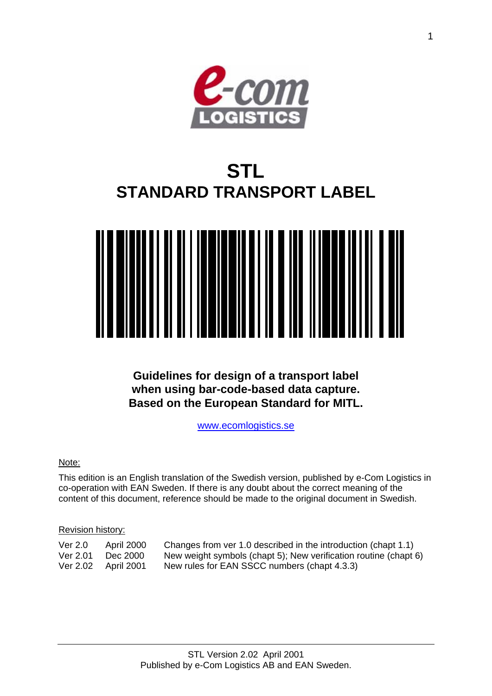

# **STL STANDARD TRANSPORT LABEL**



**Guidelines for design of a transport label when using bar-code-based data capture. Based on the European Standard for MITL.** 

[www.ecomlogistics.se](http://www.ecomlogistics.se/)

#### Note:

This edition is an English translation of the Swedish version, published by e-Com Logistics in co-operation with EAN Sweden. If there is any doubt about the correct meaning of the content of this document, reference should be made to the original document in Swedish.

#### Revision history:

| Ver 2.0  | April 2000 | Changes from ver 1.0 described in the introduction (chapt 1.1)   |
|----------|------------|------------------------------------------------------------------|
| Ver 2.01 | Dec 2000   | New weight symbols (chapt 5); New verification routine (chapt 6) |
| Ver 2.02 | April 2001 | New rules for EAN SSCC numbers (chapt 4.3.3)                     |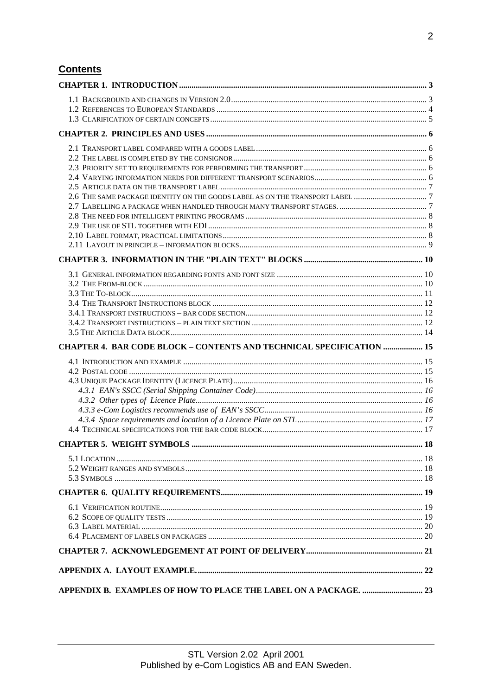# **Contents**

| CHAPTER 4. BAR CODE BLOCK - CONTENTS AND TECHNICAL SPECIFICATION  15 |  |
|----------------------------------------------------------------------|--|
|                                                                      |  |
|                                                                      |  |
|                                                                      |  |
|                                                                      |  |
|                                                                      |  |
|                                                                      |  |
|                                                                      |  |
|                                                                      |  |
|                                                                      |  |
|                                                                      |  |
|                                                                      |  |
|                                                                      |  |
|                                                                      |  |
|                                                                      |  |
|                                                                      |  |
|                                                                      |  |
|                                                                      |  |
|                                                                      |  |
|                                                                      |  |
|                                                                      |  |
|                                                                      |  |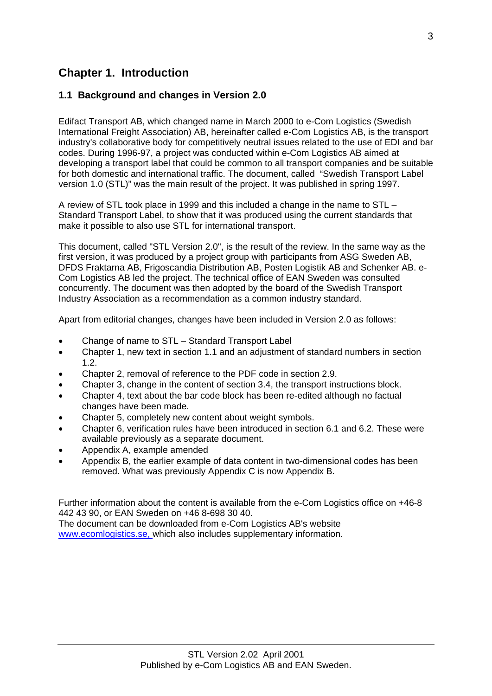# <span id="page-2-0"></span>**Chapter 1. Introduction**

# **1.1 Background and changes in Version 2.0**

Edifact Transport AB, which changed name in March 2000 to e-Com Logistics (Swedish International Freight Association) AB, hereinafter called e-Com Logistics AB, is the transport industry's collaborative body for competitively neutral issues related to the use of EDI and bar codes. During 1996-97, a project was conducted within e-Com Logistics AB aimed at developing a transport label that could be common to all transport companies and be suitable for both domestic and international traffic. The document, called "Swedish Transport Label version 1.0 (STL)" was the main result of the project. It was published in spring 1997.

A review of STL took place in 1999 and this included a change in the name to STL – Standard Transport Label, to show that it was produced using the current standards that make it possible to also use STL for international transport.

This document, called "STL Version 2.0", is the result of the review. In the same way as the first version, it was produced by a project group with participants from ASG Sweden AB, DFDS Fraktarna AB, Frigoscandia Distribution AB, Posten Logistik AB and Schenker AB. e-Com Logistics AB led the project. The technical office of EAN Sweden was consulted concurrently. The document was then adopted by the board of the Swedish Transport Industry Association as a recommendation as a common industry standard.

Apart from editorial changes, changes have been included in Version 2.0 as follows:

- Change of name to STL Standard Transport Label
- Chapter 1, new text in section 1.1 and an adjustment of standard numbers in section 1.2.
- Chapter 2, removal of reference to the PDF code in section 2.9.
- Chapter 3, change in the content of section 3.4, the transport instructions block.
- Chapter 4, text about the bar code block has been re-edited although no factual changes have been made.
- Chapter 5, completely new content about weight symbols.
- Chapter 6, verification rules have been introduced in section 6.1 and 6.2. These were available previously as a separate document.
- Appendix A, example amended
- Appendix B, the earlier example of data content in two-dimensional codes has been removed. What was previously Appendix C is now Appendix B.

Further information about the content is available from the e-Com Logistics office on +46-8 442 43 90, or EAN Sweden on +46 8-698 30 40.

The document can be downloaded from e-Com Logistics AB's website www.ecomlogistics.se, which also includes supplementary information.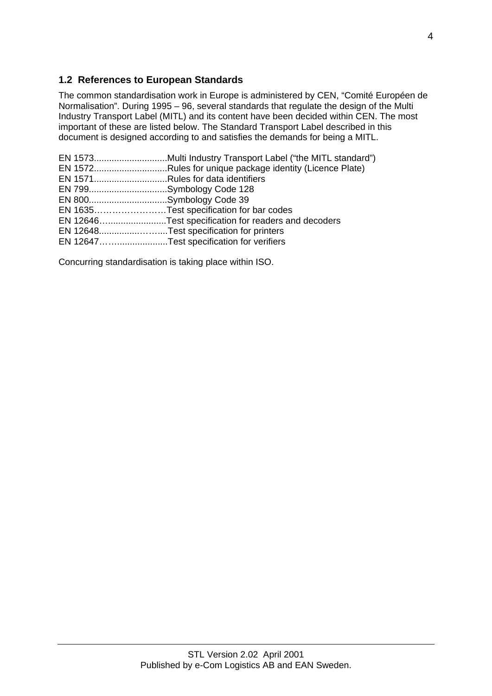# <span id="page-3-0"></span>**1.2 References to European Standards**

The common standardisation work in Europe is administered by CEN, "Comité Européen de Normalisation". During 1995 – 96, several standards that regulate the design of the Multi Industry Transport Label (MITL) and its content have been decided within CEN. The most important of these are listed below. The Standard Transport Label described in this document is designed according to and satisfies the demands for being a MITL.

|                          | EN 1572Rules for unique package identity (Licence Plate) |
|--------------------------|----------------------------------------------------------|
|                          | EN 1571Rules for data identifiers                        |
| EN 799Symbology Code 128 |                                                          |
| EN 800Symbology Code 39  |                                                          |
|                          | EN 1635Test specification for bar codes                  |
|                          | EN 12646Test specification for readers and decoders      |
|                          | EN 12648Test specification for printers                  |
|                          | EN 12647Test specification for verifiers                 |
|                          |                                                          |

Concurring standardisation is taking place within ISO.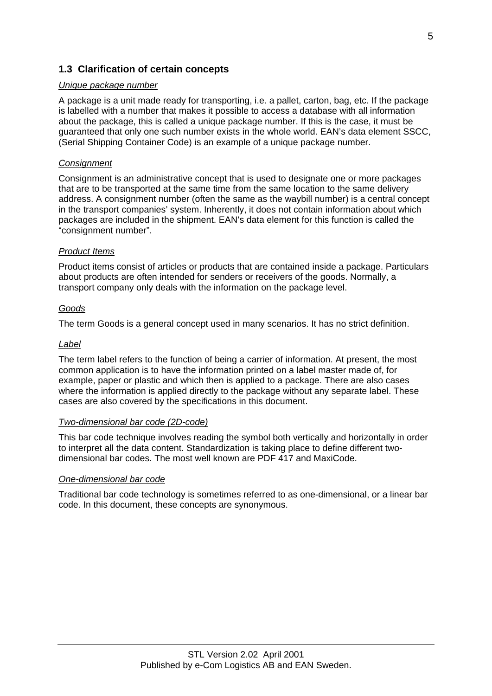### <span id="page-4-0"></span>**1.3 Clarification of certain concepts**

#### *Unique package number*

A package is a unit made ready for transporting, i.e. a pallet, carton, bag, etc. If the package is labelled with a number that makes it possible to access a database with all information about the package, this is called a unique package number. If this is the case, it must be guaranteed that only one such number exists in the whole world. EAN's data element SSCC, (Serial Shipping Container Code) is an example of a unique package number.

#### *Consignment*

Consignment is an administrative concept that is used to designate one or more packages that are to be transported at the same time from the same location to the same delivery address. A consignment number (often the same as the waybill number) is a central concept in the transport companies' system. Inherently, it does not contain information about which packages are included in the shipment. EAN's data element for this function is called the "consignment number".

#### *Product Items*

Product items consist of articles or products that are contained inside a package. Particulars about products are often intended for senders or receivers of the goods. Normally, a transport company only deals with the information on the package level.

#### *Goods*

The term Goods is a general concept used in many scenarios. It has no strict definition.

#### *Label*

The term label refers to the function of being a carrier of information. At present, the most common application is to have the information printed on a label master made of, for example, paper or plastic and which then is applied to a package. There are also cases where the information is applied directly to the package without any separate label. These cases are also covered by the specifications in this document.

#### *Two-dimensional bar code (2D-code)*

This bar code technique involves reading the symbol both vertically and horizontally in order to interpret all the data content. Standardization is taking place to define different twodimensional bar codes. The most well known are PDF 417 and MaxiCode.

#### *One-dimensional bar code*

Traditional bar code technology is sometimes referred to as one-dimensional, or a linear bar code. In this document, these concepts are synonymous.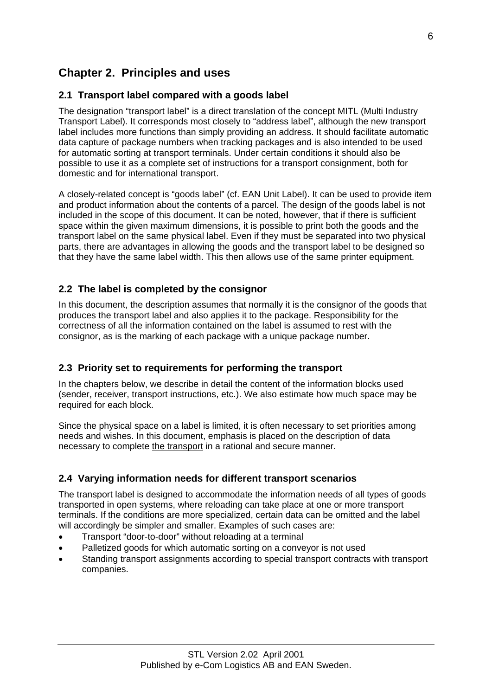# <span id="page-5-0"></span>**Chapter 2. Principles and uses**

# **2.1 Transport label compared with a goods label**

The designation "transport label" is a direct translation of the concept MITL (Multi Industry Transport Label). It corresponds most closely to "address label", although the new transport label includes more functions than simply providing an address. It should facilitate automatic data capture of package numbers when tracking packages and is also intended to be used for automatic sorting at transport terminals. Under certain conditions it should also be possible to use it as a complete set of instructions for a transport consignment, both for domestic and for international transport.

A closely-related concept is "goods label" (cf. EAN Unit Label). It can be used to provide item and product information about the contents of a parcel. The design of the goods label is not included in the scope of this document. It can be noted, however, that if there is sufficient space within the given maximum dimensions, it is possible to print both the goods and the transport label on the same physical label. Even if they must be separated into two physical parts, there are advantages in allowing the goods and the transport label to be designed so that they have the same label width. This then allows use of the same printer equipment.

# **2.2 The label is completed by the consignor**

In this document, the description assumes that normally it is the consignor of the goods that produces the transport label and also applies it to the package. Responsibility for the correctness of all the information contained on the label is assumed to rest with the consignor, as is the marking of each package with a unique package number.

# **2.3 Priority set to requirements for performing the transport**

In the chapters below, we describe in detail the content of the information blocks used (sender, receiver, transport instructions, etc.). We also estimate how much space may be required for each block.

Since the physical space on a label is limited, it is often necessary to set priorities among needs and wishes. In this document, emphasis is placed on the description of data necessary to complete the transport in a rational and secure manner.

# **2.4 Varying information needs for different transport scenarios**

The transport label is designed to accommodate the information needs of all types of goods transported in open systems, where reloading can take place at one or more transport terminals. If the conditions are more specialized, certain data can be omitted and the label will accordingly be simpler and smaller. Examples of such cases are:

- Transport "door-to-door" without reloading at a terminal
- Palletized goods for which automatic sorting on a conveyor is not used
- Standing transport assignments according to special transport contracts with transport companies.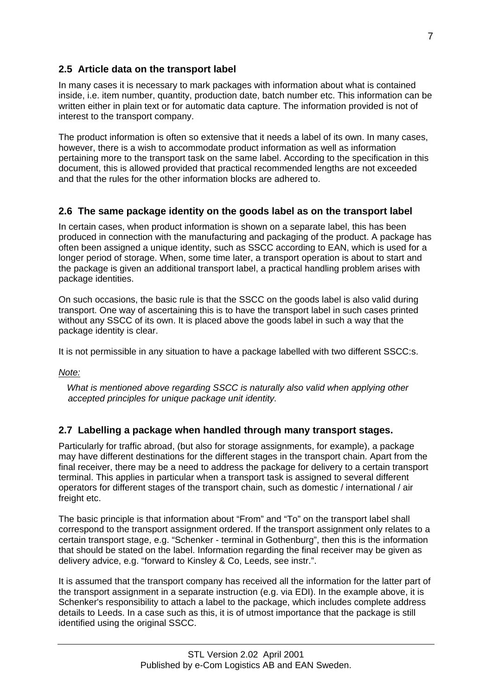# <span id="page-6-0"></span>**2.5 Article data on the transport label**

In many cases it is necessary to mark packages with information about what is contained inside, i.e. item number, quantity, production date, batch number etc. This information can be written either in plain text or for automatic data capture. The information provided is not of interest to the transport company.

The product information is often so extensive that it needs a label of its own. In many cases, however, there is a wish to accommodate product information as well as information pertaining more to the transport task on the same label. According to the specification in this document, this is allowed provided that practical recommended lengths are not exceeded and that the rules for the other information blocks are adhered to.

### **2.6 The same package identity on the goods label as on the transport label**

In certain cases, when product information is shown on a separate label, this has been produced in connection with the manufacturing and packaging of the product. A package has often been assigned a unique identity, such as SSCC according to EAN, which is used for a longer period of storage. When, some time later, a transport operation is about to start and the package is given an additional transport label, a practical handling problem arises with package identities.

On such occasions, the basic rule is that the SSCC on the goods label is also valid during transport. One way of ascertaining this is to have the transport label in such cases printed without any SSCC of its own. It is placed above the goods label in such a way that the package identity is clear.

It is not permissible in any situation to have a package labelled with two different SSCC:s.

*Note:*

 *What is mentioned above regarding SSCC is naturally also valid when applying other accepted principles for unique package unit identity.* 

# **2.7 Labelling a package when handled through many transport stages.**

Particularly for traffic abroad, (but also for storage assignments, for example), a package may have different destinations for the different stages in the transport chain. Apart from the final receiver, there may be a need to address the package for delivery to a certain transport terminal. This applies in particular when a transport task is assigned to several different operators for different stages of the transport chain, such as domestic / international / air freight etc.

The basic principle is that information about "From" and "To" on the transport label shall correspond to the transport assignment ordered. If the transport assignment only relates to a certain transport stage, e.g. "Schenker - terminal in Gothenburg", then this is the information that should be stated on the label. Information regarding the final receiver may be given as delivery advice, e.g. "forward to Kinsley & Co, Leeds, see instr.".

It is assumed that the transport company has received all the information for the latter part of the transport assignment in a separate instruction (e.g. via EDI). In the example above, it is Schenker's responsibility to attach a label to the package, which includes complete address details to Leeds. In a case such as this, it is of utmost importance that the package is still identified using the original SSCC.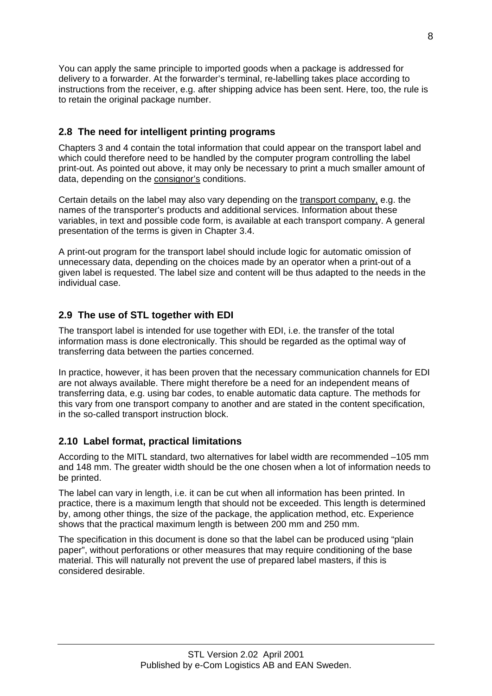<span id="page-7-0"></span>You can apply the same principle to imported goods when a package is addressed for delivery to a forwarder. At the forwarder's terminal, re-labelling takes place according to instructions from the receiver, e.g. after shipping advice has been sent. Here, too, the rule is to retain the original package number.

# **2.8 The need for intelligent printing programs**

Chapters 3 and 4 contain the total information that could appear on the transport label and which could therefore need to be handled by the computer program controlling the label print-out. As pointed out above, it may only be necessary to print a much smaller amount of data, depending on the consignor's conditions.

Certain details on the label may also vary depending on the transport company, e.g. the names of the transporter's products and additional services. Information about these variables, in text and possible code form, is available at each transport company. A general presentation of the terms is given in Chapter 3.4.

A print-out program for the transport label should include logic for automatic omission of unnecessary data, depending on the choices made by an operator when a print-out of a given label is requested. The label size and content will be thus adapted to the needs in the individual case.

# **2.9 The use of STL together with EDI**

The transport label is intended for use together with EDI, i.e. the transfer of the total information mass is done electronically. This should be regarded as the optimal way of transferring data between the parties concerned.

In practice, however, it has been proven that the necessary communication channels for EDI are not always available. There might therefore be a need for an independent means of transferring data, e.g. using bar codes, to enable automatic data capture. The methods for this vary from one transport company to another and are stated in the content specification, in the so-called transport instruction block.

# **2.10 Label format, practical limitations**

According to the MITL standard, two alternatives for label width are recommended –105 mm and 148 mm. The greater width should be the one chosen when a lot of information needs to be printed.

The label can vary in length, i.e. it can be cut when all information has been printed. In practice, there is a maximum length that should not be exceeded. This length is determined by, among other things, the size of the package, the application method, etc. Experience shows that the practical maximum length is between 200 mm and 250 mm.

The specification in this document is done so that the label can be produced using "plain paper", without perforations or other measures that may require conditioning of the base material. This will naturally not prevent the use of prepared label masters, if this is considered desirable.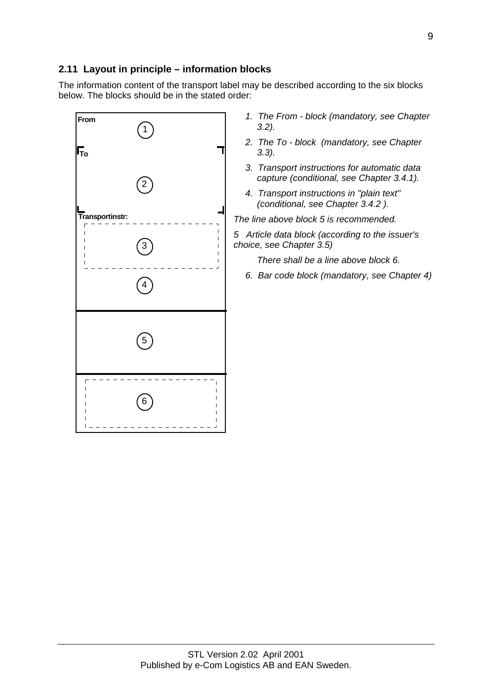## <span id="page-8-0"></span>**2.11 Layout in principle – information blocks**

The information content of the transport label may be described according to the six blocks below. The blocks should be in the stated order:

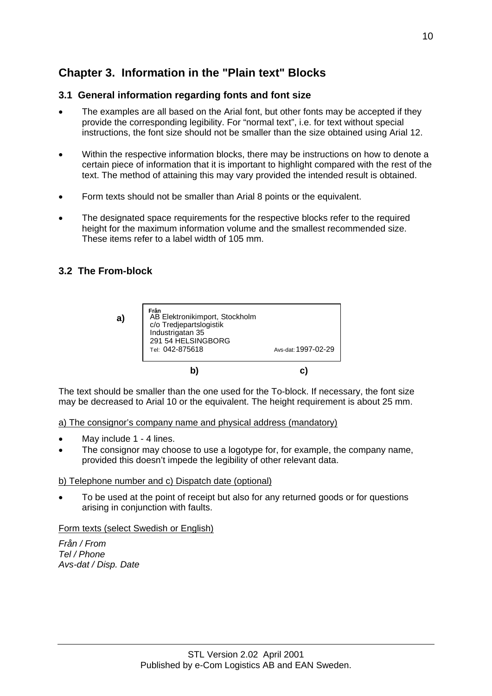# <span id="page-9-0"></span>**Chapter 3. Information in the "Plain text" Blocks**

# **3.1 General information regarding fonts and font size**

- The examples are all based on the Arial font, but other fonts may be accepted if they provide the corresponding legibility. For "normal text", i.e. for text without special instructions, the font size should not be smaller than the size obtained using Arial 12.
- Within the respective information blocks, there may be instructions on how to denote a certain piece of information that it is important to highlight compared with the rest of the text. The method of attaining this may vary provided the intended result is obtained.
- Form texts should not be smaller than Arial 8 points or the equivalent.
- The designated space requirements for the respective blocks refer to the required height for the maximum information volume and the smallest recommended size. These items refer to a label width of 105 mm.

### **3.2 The From-block**

**a)**



The text should be smaller than the one used for the To-block. If necessary, the font size may be decreased to Arial 10 or the equivalent. The height requirement is about 25 mm.

a) The consignor's company name and physical address (mandatory)

- May include 1 4 lines.
- The consignor may choose to use a logotype for, for example, the company name, provided this doesn't impede the legibility of other relevant data.

#### b) Telephone number and c) Dispatch date (optional)

• To be used at the point of receipt but also for any returned goods or for questions arising in conjunction with faults.

#### Form texts (select Swedish or English)

*Från / From Tel / Phone Avs-dat / Disp. Date*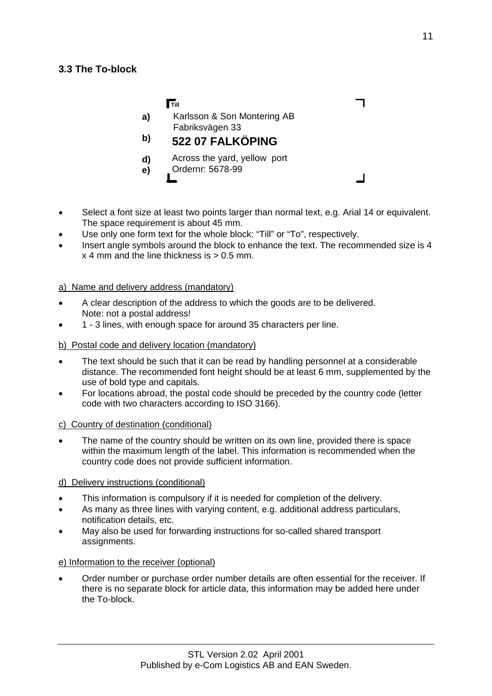<span id="page-10-0"></span>

|          | <b>Till</b>                                      |  |
|----------|--------------------------------------------------|--|
| a)       | Karlsson & Son Montering AB<br>Fabriksvägen 33   |  |
| b)       | 522 07 FALKÖPING                                 |  |
| d)<br>e) | Across the yard, yellow port<br>Ordernr: 5678-99 |  |

- Select a font size at least two points larger than normal text, e.g. Arial 14 or equivalent. The space requirement is about 45 mm.
- Use only one form text for the whole block: "Till" or "To", respectively.
- Insert angle symbols around the block to enhance the text. The recommended size is 4  $x$  4 mm and the line thickness is  $> 0.5$  mm.

#### a) Name and delivery address (mandatory)

- A clear description of the address to which the goods are to be delivered. Note: not a postal address!
- 1 3 lines, with enough space for around 35 characters per line.

#### b) Postal code and delivery location (mandatory)

- The text should be such that it can be read by handling personnel at a considerable distance. The recommended font height should be at least 6 mm, supplemented by the use of bold type and capitals.
- For locations abroad, the postal code should be preceded by the country code (letter code with two characters according to ISO 3166).

#### c) Country of destination (conditional)

The name of the country should be written on its own line, provided there is space within the maximum length of the label. This information is recommended when the country code does not provide sufficient information.

#### d) Delivery instructions (conditional)

- This information is compulsory if it is needed for completion of the delivery.
- As many as three lines with varying content, e.g. additional address particulars, notification details, etc.
- May also be used for forwarding instructions for so-called shared transport assignments.

#### e) Information to the receiver (optional)

• Order number or purchase order number details are often essential for the receiver. If there is no separate block for article data, this information may be added here under the To-block.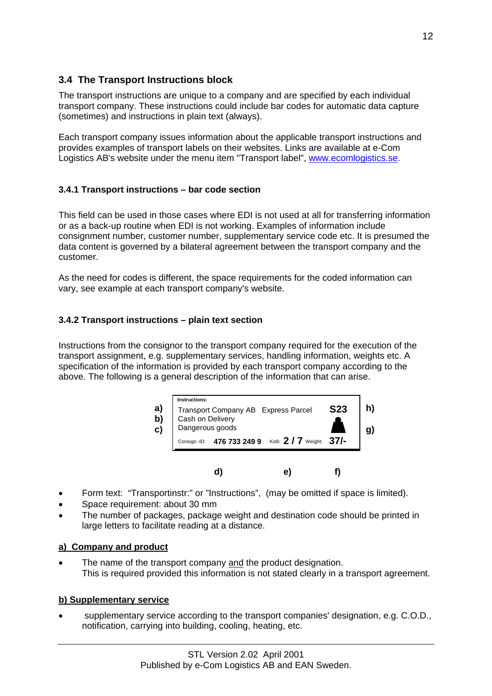# <span id="page-11-0"></span>**3.4 The Transport Instructions block**

The transport instructions are unique to a company and are specified by each individual transport company. These instructions could include bar codes for automatic data capture (sometimes) and instructions in plain text (always).

Each transport company issues information about the applicable transport instructions and provides examples of transport labels on their websites. Links are available at e-Com Logistics AB's website under the menu item "Transport label", www.ecomlogistics.se.

# **3.4.1 Transport instructions – bar code section**

This field can be used in those cases where EDI is not used at all for transferring information or as a back-up routine when EDI is not working. Examples of information include consignment number, customer number, supplementary service code etc. It is presumed the data content is governed by a bilateral agreement between the transport company and the customer.

As the need for codes is different, the space requirements for the coded information can vary, see example at each transport company's website.

# **3.4.2 Transport instructions – plain text section**

Instructions from the consignor to the transport company required for the execution of the transport assignment, e.g. supplementary services, handling information, weights etc. A specification of the information is provided by each transport company according to the above. The following is a general description of the information that can arise.

| a)<br>$\mathbf{b}$<br>C) | Transport Company AB Express Parcel<br>Cash on Delivery<br>Dangerous goods | <b>S23</b> |
|--------------------------|----------------------------------------------------------------------------|------------|
|                          | 476 733 249 9 Kolli: 2 / 7 Weight: 37/-<br>Consign.-ID:                    |            |

 **d) e) f)**

- Form text: "Transportinstr:" or "Instructions", (may be omitted if space is limited).
- Space requirement: about 30 mm
- The number of packages, package weight and destination code should be printed in large letters to facilitate reading at a distance.

# **a) Company and product**

The name of the transport company and the product designation. This is required provided this information is not stated clearly in a transport agreement.

### **b) Supplementary service**

• supplementary service according to the transport companies' designation, e.g. C.O.D., notification, carrying into building, cooling, heating, etc.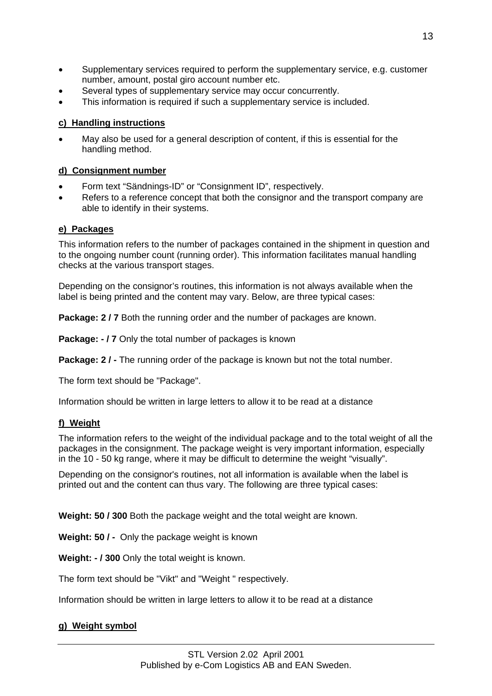- Supplementary services required to perform the supplementary service, e.g. customer number, amount, postal giro account number etc.
- Several types of supplementary service may occur concurrently.
- This information is required if such a supplementary service is included.

#### **c) Handling instructions**

• May also be used for a general description of content, if this is essential for the handling method.

#### **d) Consignment number**

- Form text "Sändnings-ID" or "Consignment ID", respectively.
- Refers to a reference concept that both the consignor and the transport company are able to identify in their systems.

#### **e) Packages**

This information refers to the number of packages contained in the shipment in question and to the ongoing number count (running order). This information facilitates manual handling checks at the various transport stages.

Depending on the consignor's routines, this information is not always available when the label is being printed and the content may vary. Below, are three typical cases:

**Package: 2 / 7** Both the running order and the number of packages are known.

**Package: - / 7** Only the total number of packages is known

**Package: 2/-** The running order of the package is known but not the total number.

The form text should be "Package".

Information should be written in large letters to allow it to be read at a distance

#### **f) Weight**

The information refers to the weight of the individual package and to the total weight of all the packages in the consignment. The package weight is very important information, especially in the 10 - 50 kg range, where it may be difficult to determine the weight "visually".

Depending on the consignor's routines, not all information is available when the label is printed out and the content can thus vary. The following are three typical cases:

**Weight: 50 / 300** Both the package weight and the total weight are known.

**Weight: 50 / -** Only the package weight is known

**Weight: - / 300** Only the total weight is known.

The form text should be "Vikt" and "Weight " respectively.

Information should be written in large letters to allow it to be read at a distance

#### **g) Weight symbol**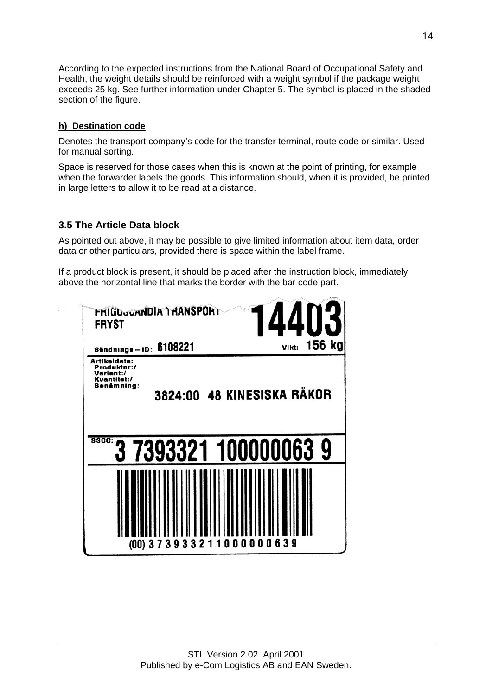<span id="page-13-0"></span>According to the expected instructions from the National Board of Occupational Safety and Health, the weight details should be reinforced with a weight symbol if the package weight exceeds 25 kg. See further information under Chapter 5. The symbol is placed in the shaded section of the figure.

### **h) Destination code**

Denotes the transport company's code for the transfer terminal, route code or similar. Used for manual sorting.

Space is reserved for those cases when this is known at the point of printing, for example when the forwarder labels the goods. This information should, when it is provided, be printed in large letters to allow it to be read at a distance.

# **3.5 The Article Data block**

As pointed out above, it may be possible to give limited information about item data, order data or other particulars, provided there is space within the label frame.

If a product block is present, it should be placed after the instruction block, immediately above the horizontal line that marks the border with the bar code part.

| FRIGDoganDIA'I HANSPORT<br><b>FRYST</b>                               | 4403                       |
|-----------------------------------------------------------------------|----------------------------|
| Sändnings-ID: 6108221                                                 | VIkt: 156 kg               |
| Artikeldata:<br>Produktnr:/<br>Variant:/<br>Kvantitet:/<br>Benämning: | 3824:00 48 KINESISKA RÄKOR |
| <b>88CC:</b><br>7393321 100000063 9                                   |                            |
| (00) 373933211000000639                                               |                            |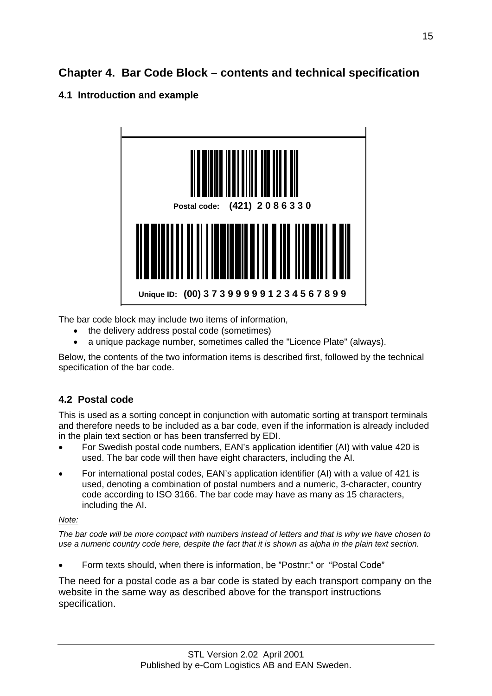# <span id="page-14-0"></span>**Chapter 4. Bar Code Block – contents and technical specification**

# **4.1 Introduction and example**



The bar code block may include two items of information,

- the delivery address postal code (sometimes)
- a unique package number, sometimes called the "Licence Plate" (always).

Below, the contents of the two information items is described first, followed by the technical specification of the bar code.

# **4.2 Postal code**

This is used as a sorting concept in conjunction with automatic sorting at transport terminals and therefore needs to be included as a bar code, even if the information is already included in the plain text section or has been transferred by EDI.

- For Swedish postal code numbers, EAN's application identifier (AI) with value 420 is used. The bar code will then have eight characters, including the AI.
- For international postal codes, EAN's application identifier (AI) with a value of 421 is used, denoting a combination of postal numbers and a numeric, 3-character, country code according to ISO 3166. The bar code may have as many as 15 characters, including the AI.

# *Note:*

*The bar code will be more compact with numbers instead of letters and that is why we have chosen to use a numeric country code here, despite the fact that it is shown as alpha in the plain text section.* 

• Form texts should, when there is information, be "Postnr:" or "Postal Code"

The need for a postal code as a bar code is stated by each transport company on the website in the same way as described above for the transport instructions specification.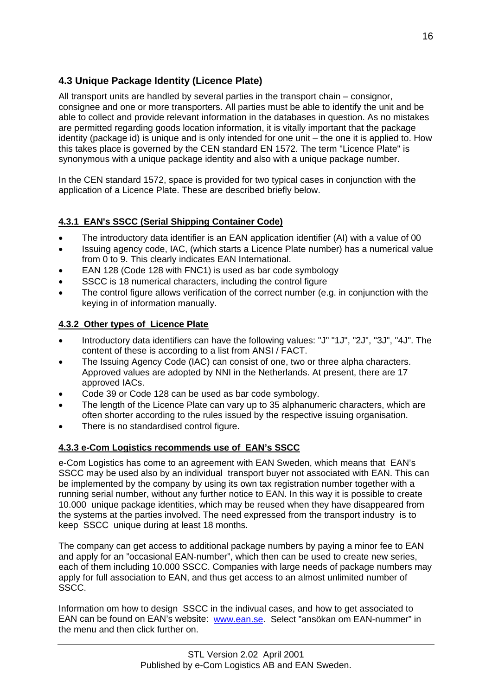# <span id="page-15-0"></span>**4.3 Unique Package Identity (Licence Plate)**

All transport units are handled by several parties in the transport chain – consignor, consignee and one or more transporters. All parties must be able to identify the unit and be able to collect and provide relevant information in the databases in question. As no mistakes are permitted regarding goods location information, it is vitally important that the package identity (package id) is unique and is only intended for one unit – the one it is applied to. How this takes place is governed by the CEN standard EN 1572. The term "Licence Plate" is synonymous with a unique package identity and also with a unique package number.

In the CEN standard 1572, space is provided for two typical cases in conjunction with the application of a Licence Plate. These are described briefly below.

### **4.3.1 EAN's SSCC (Serial Shipping Container Code)**

- The introductory data identifier is an EAN application identifier (AI) with a value of 00
- Issuing agency code, IAC, (which starts a Licence Plate number) has a numerical value from 0 to 9. This clearly indicates EAN International.
- EAN 128 (Code 128 with FNC1) is used as bar code symbology
- SSCC is 18 numerical characters, including the control figure
- The control figure allows verification of the correct number (e.g. in conjunction with the keying in of information manually.

### **4.3.2 Other types of Licence Plate**

- Introductory data identifiers can have the following values: "J" "1J", "2J", "3J", "4J". The content of these is according to a list from ANSI / FACT.
- The Issuing Agency Code (IAC) can consist of one, two or three alpha characters. Approved values are adopted by NNI in the Netherlands. At present, there are 17 approved IACs.
- Code 39 or Code 128 can be used as bar code symbology.
- The length of the Licence Plate can vary up to 35 alphanumeric characters, which are often shorter according to the rules issued by the respective issuing organisation.
- There is no standardised control figure.

### **4.3.3 e-Com Logistics recommends use of EAN's SSCC**

e-Com Logistics has come to an agreement with EAN Sweden, which means that EAN's SSCC may be used also by an individual transport buyer not associated with EAN. This can be implemented by the company by using its own tax registration number together with a running serial number, without any further notice to EAN. In this way it is possible to create 10.000 unique package identities, which may be reused when they have disappeared from the systems at the parties involved. The need expressed from the transport industry is to keep SSCC unique during at least 18 months.

The company can get access to additional package numbers by paying a minor fee to EAN and apply for an "occasional EAN-number", which then can be used to create new series, each of them including 10.000 SSCC. Companies with large needs of package numbers may apply for full association to EAN, and thus get access to an almost unlimited number of SSCC.

Information om how to design SSCC in the indivual cases, and how to get associated to EAN can be found on EAN's website: [www.ean.se.](http://www.ean.se/) Select "ansökan om EAN-nummer" in the menu and then click further on.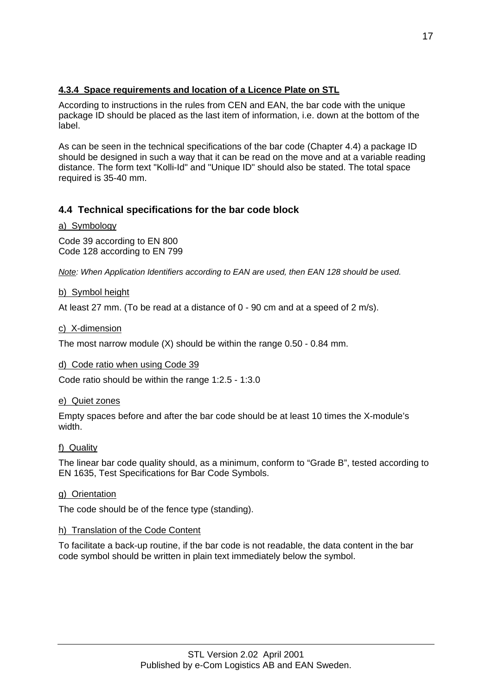## <span id="page-16-0"></span>**4.3.4 Space requirements and location of a Licence Plate on STL**

According to instructions in the rules from CEN and EAN, the bar code with the unique package ID should be placed as the last item of information, i.e. down at the bottom of the label.

As can be seen in the technical specifications of the bar code (Chapter 4.4) a package ID should be designed in such a way that it can be read on the move and at a variable reading distance. The form text "Kolli-Id" and "Unique ID" should also be stated. The total space required is 35-40 mm.

# **4.4 Technical specifications for the bar code block**

#### a) Symbology

Code 39 according to EN 800 Code 128 according to EN 799

*Note: When Application Identifiers according to EAN are used, then EAN 128 should be used.* 

#### b) Symbol height

At least 27 mm. (To be read at a distance of 0 - 90 cm and at a speed of 2 m/s).

#### c) X-dimension

The most narrow module (X) should be within the range 0.50 - 0.84 mm.

#### d) Code ratio when using Code 39

Code ratio should be within the range 1:2.5 - 1:3.0

#### e) Quiet zones

Empty spaces before and after the bar code should be at least 10 times the X-module's width.

#### f) Quality

The linear bar code quality should, as a minimum, conform to "Grade B", tested according to EN 1635, Test Specifications for Bar Code Symbols.

#### g) Orientation

The code should be of the fence type (standing).

#### h) Translation of the Code Content

To facilitate a back-up routine, if the bar code is not readable, the data content in the bar code symbol should be written in plain text immediately below the symbol.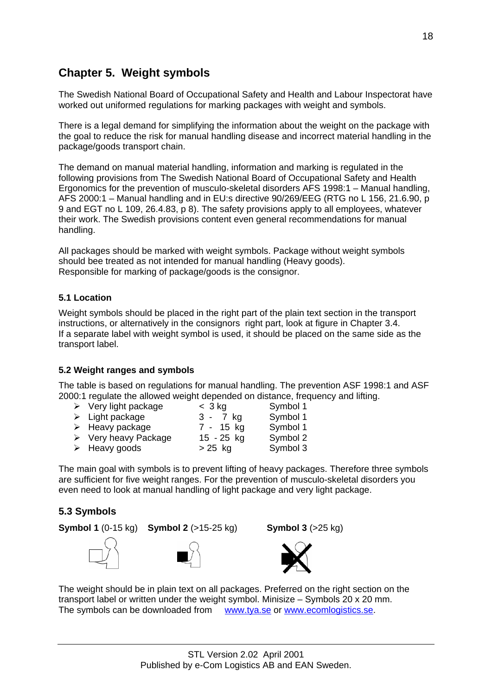# <span id="page-17-0"></span>**Chapter 5. Weight symbols**

The Swedish National Board of Occupational Safety and Health and Labour Inspectorat have worked out uniformed regulations for marking packages with weight and symbols.

There is a legal demand for simplifying the information about the weight on the package with the goal to reduce the risk for manual handling disease and incorrect material handling in the package/goods transport chain.

The demand on manual material handling, information and marking is regulated in the following provisions from The Swedish National Board of Occupational Safety and Health Ergonomics for the prevention of musculo-skeletal disorders AFS 1998:1 – Manual handling, AFS 2000:1 – Manual handling and in EU:s directive 90/269/EEG (RTG no L 156, 21.6.90, p 9 and EGT no L 109, 26.4.83, p 8). The safety provisions apply to all employees, whatever their work. The Swedish provisions content even general recommendations for manual handling.

All packages should be marked with weight symbols. Package without weight symbols should bee treated as not intended for manual handling (Heavy goods). Responsible for marking of package/goods is the consignor.

### **5.1 Location**

Weight symbols should be placed in the right part of the plain text section in the transport instructions, or alternatively in the consignors right part, look at figure in Chapter 3.4. If a separate label with weight symbol is used, it should be placed on the same side as the transport label.

#### **5.2 Weight ranges and symbols**

The table is based on regulations for manual handling. The prevention ASF 1998:1 and ASF 2000:1 regulate the allowed weight depended on distance, frequency and lifting.

| $\triangleright$ Very light package | $<$ 3 kg     | Symbol 1 |
|-------------------------------------|--------------|----------|
| $\triangleright$ Light package      | 3 - 7 kg     | Symbol 1 |
| $\triangleright$ Heavy package      | 7 - 15 kg    | Symbol 1 |
| $\triangleright$ Very heavy Package | $15 - 25$ kg | Symbol 2 |
| $\triangleright$ Heavy goods        | $> 25$ kg    | Symbol 3 |

The main goal with symbols is to prevent lifting of heavy packages. Therefore three symbols are sufficient for five weight ranges. For the prevention of musculo-skeletal disorders you even need to look at manual handling of light package and very light package.

# **5.3 Symbols**

**Symbol 1** (0-15 kg) **Symbol 2** (>15-25 kg) **Symbol 3** (>25 kg)







The weight should be in plain text on all packages. Preferred on the right section on the transport label or written under the weight symbol. Minisize – Symbols 20 x 20 mm. The symbols can be downloaded from [www.tya.se](http://www.tya.se/) or [www.ecomlogistics.se.](http://www.ecomlogistics.se/)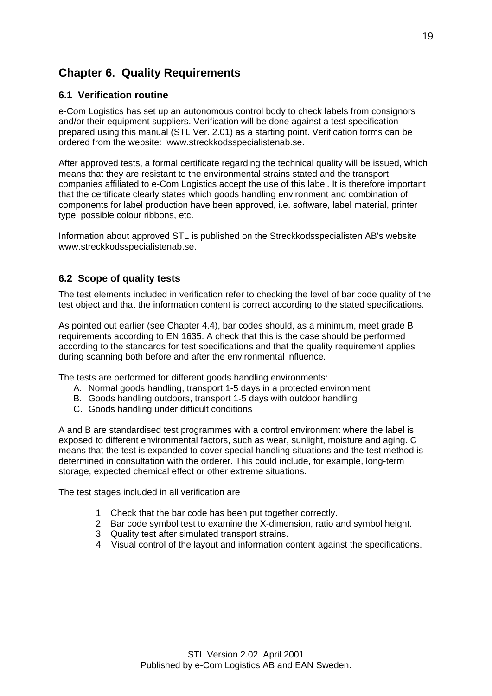# <span id="page-18-0"></span>**Chapter 6. Quality Requirements**

# **6.1 Verification routine**

e-Com Logistics has set up an autonomous control body to check labels from consignors and/or their equipment suppliers. Verification will be done against a test specification prepared using this manual (STL Ver. 2.01) as a starting point. Verification forms can be ordered from the website: www.streckkodsspecialistenab.se.

After approved tests, a formal certificate regarding the technical quality will be issued, which means that they are resistant to the environmental strains stated and the transport companies affiliated to e-Com Logistics accept the use of this label. It is therefore important that the certificate clearly states which goods handling environment and combination of components for label production have been approved, i.e. software, label material, printer type, possible colour ribbons, etc.

Information about approved STL is published on the Streckkodsspecialisten AB's website www.streckkodsspecialistenab.se.

### **6.2 Scope of quality tests**

The test elements included in verification refer to checking the level of bar code quality of the test object and that the information content is correct according to the stated specifications.

As pointed out earlier (see Chapter 4.4), bar codes should, as a minimum, meet grade B requirements according to EN 1635. A check that this is the case should be performed according to the standards for test specifications and that the quality requirement applies during scanning both before and after the environmental influence.

The tests are performed for different goods handling environments:

- A. Normal goods handling, transport 1-5 days in a protected environment
- B. Goods handling outdoors, transport 1-5 days with outdoor handling
- C. Goods handling under difficult conditions

A and B are standardised test programmes with a control environment where the label is exposed to different environmental factors, such as wear, sunlight, moisture and aging. C means that the test is expanded to cover special handling situations and the test method is determined in consultation with the orderer. This could include, for example, long-term storage, expected chemical effect or other extreme situations.

The test stages included in all verification are

- 1. Check that the bar code has been put together correctly.
- 2. Bar code symbol test to examine the X-dimension, ratio and symbol height.
- 3. Quality test after simulated transport strains.
- 4. Visual control of the layout and information content against the specifications.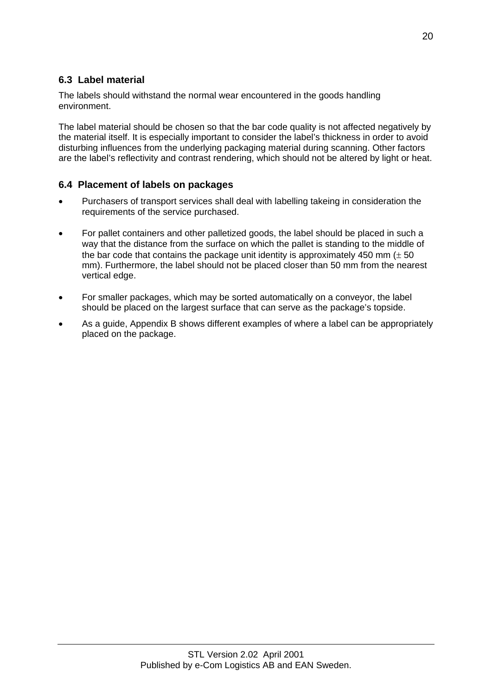# <span id="page-19-0"></span>**6.3 Label material**

The labels should withstand the normal wear encountered in the goods handling environment.

The label material should be chosen so that the bar code quality is not affected negatively by the material itself. It is especially important to consider the label's thickness in order to avoid disturbing influences from the underlying packaging material during scanning. Other factors are the label's reflectivity and contrast rendering, which should not be altered by light or heat.

### **6.4 Placement of labels on packages**

- Purchasers of transport services shall deal with labelling takeing in consideration the requirements of the service purchased.
- For pallet containers and other palletized goods, the label should be placed in such a way that the distance from the surface on which the pallet is standing to the middle of the bar code that contains the package unit identity is approximately 450 mm  $(\pm 50)$ mm). Furthermore, the label should not be placed closer than 50 mm from the nearest vertical edge.
- For smaller packages, which may be sorted automatically on a conveyor, the label should be placed on the largest surface that can serve as the package's topside.
- As a guide, Appendix B shows different examples of where a label can be appropriately placed on the package.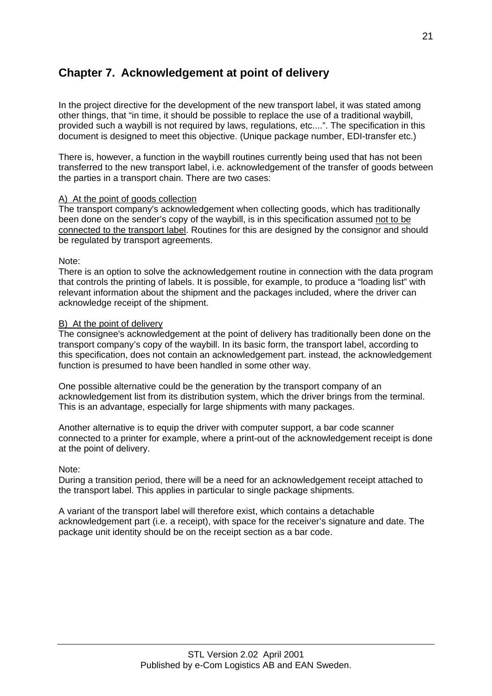# <span id="page-20-0"></span>**Chapter 7. Acknowledgement at point of delivery**

In the project directive for the development of the new transport label, it was stated among other things, that "in time, it should be possible to replace the use of a traditional waybill, provided such a waybill is not required by laws, regulations, etc....". The specification in this document is designed to meet this objective. (Unique package number, EDI-transfer etc.)

There is, however, a function in the waybill routines currently being used that has not been transferred to the new transport label, i.e. acknowledgement of the transfer of goods between the parties in a transport chain. There are two cases:

#### A) At the point of goods collection

The transport company's acknowledgement when collecting goods, which has traditionally been done on the sender's copy of the waybill, is in this specification assumed not to be connected to the transport label. Routines for this are designed by the consignor and should be regulated by transport agreements.

Note:

There is an option to solve the acknowledgement routine in connection with the data program that controls the printing of labels. It is possible, for example, to produce a "loading list" with relevant information about the shipment and the packages included, where the driver can acknowledge receipt of the shipment.

#### B) At the point of delivery

The consignee's acknowledgement at the point of delivery has traditionally been done on the transport company's copy of the waybill. In its basic form, the transport label, according to this specification, does not contain an acknowledgement part. instead, the acknowledgement function is presumed to have been handled in some other way.

One possible alternative could be the generation by the transport company of an acknowledgement list from its distribution system, which the driver brings from the terminal. This is an advantage, especially for large shipments with many packages.

Another alternative is to equip the driver with computer support, a bar code scanner connected to a printer for example, where a print-out of the acknowledgement receipt is done at the point of delivery.

Note:

During a transition period, there will be a need for an acknowledgement receipt attached to the transport label. This applies in particular to single package shipments.

A variant of the transport label will therefore exist, which contains a detachable acknowledgement part (i.e. a receipt), with space for the receiver's signature and date. The package unit identity should be on the receipt section as a bar code.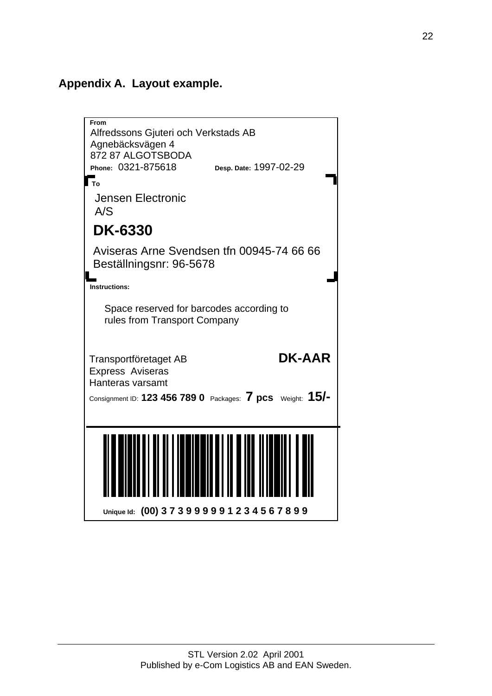# <span id="page-21-0"></span>**Appendix A. Layout example.**